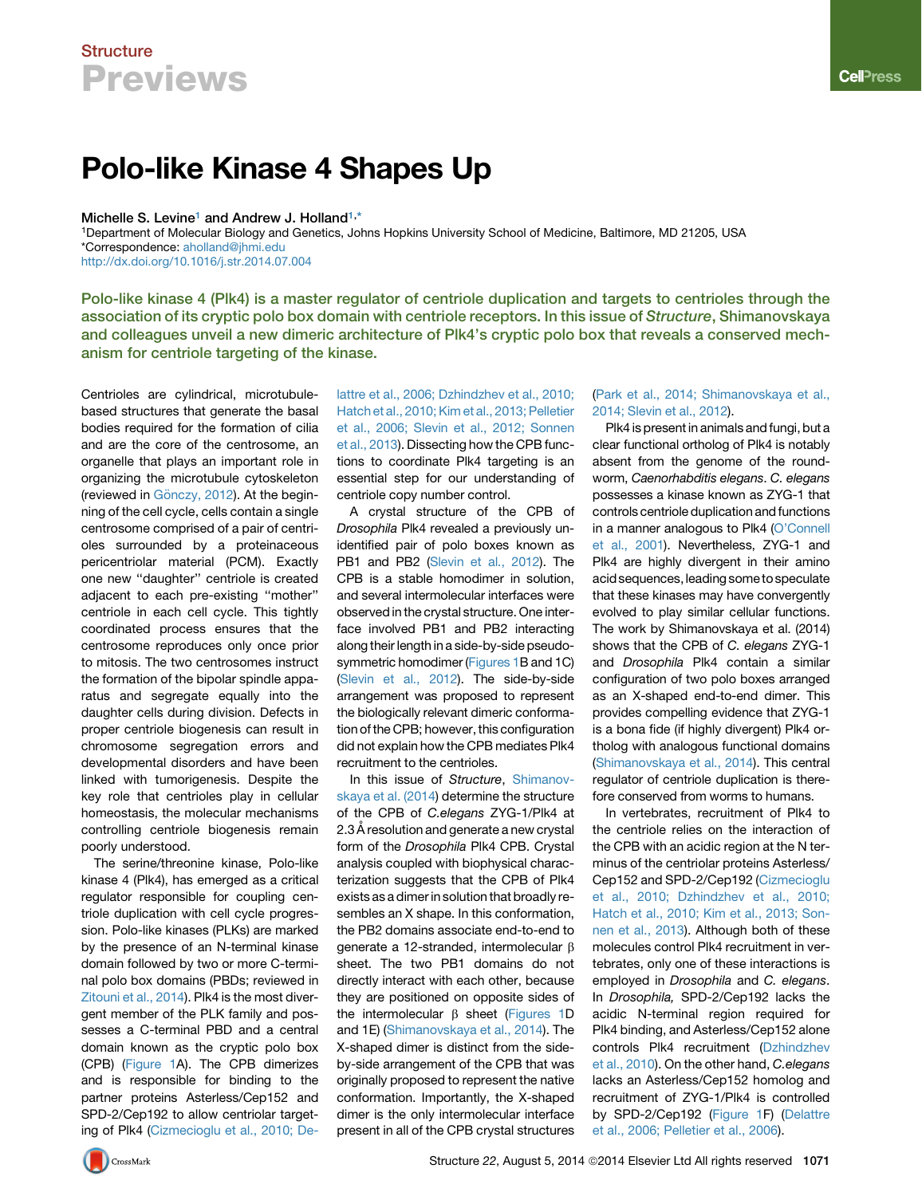# **Structure Previews**

# Polo-like Kinase 4 Shapes Up

#### Michelle S. Levine<sup>1</sup> and Andrew J. Holland<sup>1,\*</sup>

1Department of Molecular Biology and Genetics, Johns Hopkins University School of Medicine, Baltimore, MD 21205, USA \*Correspondence: [aholland@jhmi.edu](mailto:aholland@jhmi.edu) <http://dx.doi.org/10.1016/j.str.2014.07.004>

Polo-like kinase 4 (Plk4) is a master regulator of centriole duplication and targets to centrioles through the association of its cryptic polo box domain with centriole receptors. In this issue of Structure, Shimanovskaya and colleagues unveil a new dimeric architecture of Plk4's cryptic polo box that reveals a conserved mechanism for centriole targeting of the kinase.

Centrioles are cylindrical, microtubulebased structures that generate the basal bodies required for the formation of cilia and are the core of the centrosome, an organelle that plays an important role in organizing the microtubule cytoskeleton (reviewed in Gö[nczy, 2012\)](#page-2-0). At the beginning of the cell cycle, cells contain a single centrosome comprised of a pair of centrioles surrounded by a proteinaceous pericentriolar material (PCM). Exactly one new ''daughter'' centriole is created adjacent to each pre-existing ''mother'' centriole in each cell cycle. This tightly coordinated process ensures that the centrosome reproduces only once prior to mitosis. The two centrosomes instruct the formation of the bipolar spindle apparatus and segregate equally into the daughter cells during division. Defects in proper centriole biogenesis can result in chromosome segregation errors and developmental disorders and have been linked with tumorigenesis. Despite the key role that centrioles play in cellular homeostasis, the molecular mechanisms controlling centriole biogenesis remain poorly understood.

The serine/threonine kinase, Polo-like kinase 4 (Plk4), has emerged as a critical regulator responsible for coupling centriole duplication with cell cycle progression. Polo-like kinases (PLKs) are marked by the presence of an N-terminal kinase domain followed by two or more C-terminal polo box domains (PBDs; reviewed in [Zitouni et al., 2014\)](#page-2-0). Plk4 is the most divergent member of the PLK family and possesses a C-terminal PBD and a central domain known as the cryptic polo box (CPB) [\(Figure 1](#page-1-0)A). The CPB dimerizes and is responsible for binding to the partner proteins Asterless/Cep152 and SPD-2/Cep192 to allow centriolar targeting of Plk4 [\(Cizmecioglu et al., 2010; De-](#page-2-0) [lattre et al., 2006; Dzhindzhev et al., 2010;](#page-2-0) [Hatch et al., 2010; Kim et al., 2013; Pelletier](#page-2-0) [et al., 2006; Slevin et al., 2012; Sonnen](#page-2-0) [et al., 2013](#page-2-0)). Dissecting how the CPB functions to coordinate Plk4 targeting is an essential step for our understanding of centriole copy number control.

A crystal structure of the CPB of *Drosophila* Plk4 revealed a previously unidentified pair of polo boxes known as PB1 and PB2 [\(Slevin et al., 2012](#page-2-0)). The CPB is a stable homodimer in solution, and several intermolecular interfaces were observed in the crystal structure. One interface involved PB1 and PB2 interacting along their length in a side-by-side pseudosymmetric homodimer ([Figures 1](#page-1-0)B and 1C) ([Slevin et al., 2012](#page-2-0)). The side-by-side arrangement was proposed to represent the biologically relevant dimeric conformation of the CPB; however, this configuration did not explain how the CPB mediates Plk4 recruitment to the centrioles.

In this issue of *Structure*, [Shimanov](#page-2-0)[skaya et al. \(2014\)](#page-2-0) determine the structure of the CPB of *C.elegans* ZYG-1/Plk4 at 2.3 Å resolution and generate a new crystal form of the *Drosophila* Plk4 CPB. Crystal analysis coupled with biophysical characterization suggests that the CPB of Plk4 exists as a dimer in solution that broadly resembles an X shape. In this conformation, the PB2 domains associate end-to-end to generate a 12-stranded, intermolecular  $\beta$ sheet. The two PB1 domains do not directly interact with each other, because they are positioned on opposite sides of the intermolecular  $\beta$  sheet ([Figures 1D](#page-1-0) and 1E) [\(Shimanovskaya et al., 2014](#page-2-0)). The X-shaped dimer is distinct from the sideby-side arrangement of the CPB that was originally proposed to represent the native conformation. Importantly, the X-shaped dimer is the only intermolecular interface present in all of the CPB crystal structures [\(Park et al., 2014; Shimanovskaya et al.,](#page-2-0) [2014; Slevin et al., 2012](#page-2-0)).

Plk4 is present in animals and fungi, but a clear functional ortholog of Plk4 is notably absent from the genome of the roundworm, *Caenorhabditis elegans*. *C. elegans* possesses a kinase known as ZYG-1 that controls centriole duplication and functions in a manner analogous to Plk4 ([O'Connell](#page-2-0) [et al., 2001](#page-2-0)). Nevertheless, ZYG-1 and Plk4 are highly divergent in their amino acid sequences, leading some to speculate that these kinases may have convergently evolved to play similar cellular functions. The work by Shimanovskaya et al. (2014) shows that the CPB of *C. elegans* ZYG-1 and *Drosophila* Plk4 contain a similar configuration of two polo boxes arranged as an X-shaped end-to-end dimer. This provides compelling evidence that ZYG-1 is a bona fide (if highly divergent) Plk4 ortholog with analogous functional domains [\(Shimanovskaya et al., 2014\)](#page-2-0). This central regulator of centriole duplication is therefore conserved from worms to humans.

In vertebrates, recruitment of Plk4 to the centriole relies on the interaction of the CPB with an acidic region at the N terminus of the centriolar proteins Asterless/ Cep152 and SPD-2/Cep192 ([Cizmecioglu](#page-2-0) [et al., 2010; Dzhindzhev et al., 2010;](#page-2-0) [Hatch et al., 2010; Kim et al., 2013; Son](#page-2-0)[nen et al., 2013\)](#page-2-0). Although both of these molecules control Plk4 recruitment in vertebrates, only one of these interactions is employed in *Drosophila* and *C. elegans*. In *Drosophila,* SPD-2/Cep192 lacks the acidic N-terminal region required for Plk4 binding, and Asterless/Cep152 alone controls Plk4 recruitment [\(Dzhindzhev](#page-2-0) [et al., 2010](#page-2-0)). On the other hand, *C.elegans* lacks an Asterless/Cep152 homolog and recruitment of ZYG-1/Plk4 is controlled by SPD-2/Cep192 [\(Figure 1](#page-1-0)F) ([Delattre](#page-2-0) [et al., 2006; Pelletier et al., 2006\)](#page-2-0).

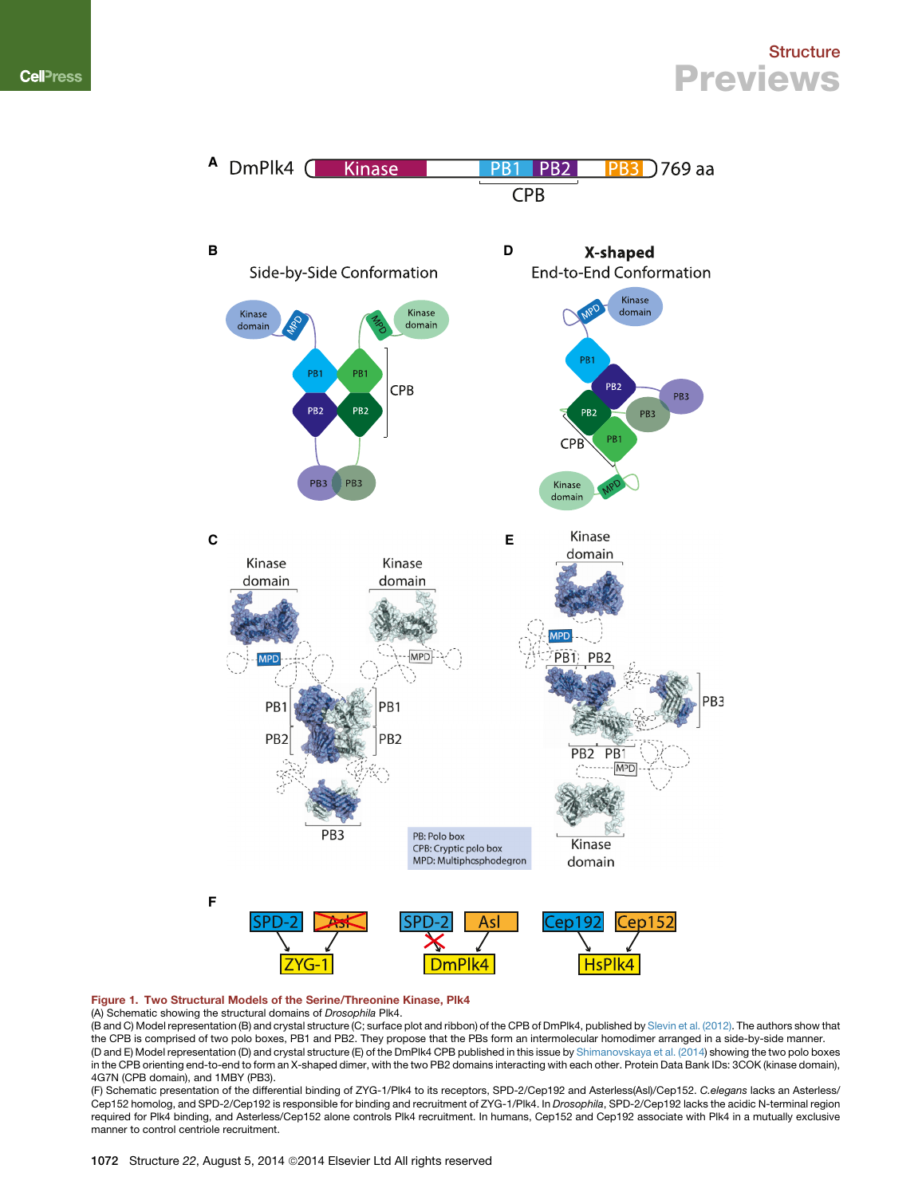### **Structure Previews**

<span id="page-1-0"></span>

#### Figure 1. Two Structural Models of the Serine/Threonine Kinase, Plk4

#### (A) Schematic showing the structural domains of *Drosophila* Plk4.

(B and C) Model representation (B) and crystal structure (C; surface plot and ribbon) of the CPB of DmPlk4, published by [Slevin et al. \(2012\).](#page-2-0) The authors show that the CPB is comprised of two polo boxes, PB1 and PB2. They propose that the PBs form an intermolecular homodimer arranged in a side-by-side manner. (D and E) Model representation (D) and crystal structure (E) of the DmPlk4 CPB published in this issue by [Shimanovskaya et al. \(2014](#page-2-0)) showing the two polo boxes in the CPB orienting end-to-end to form an X-shaped dimer, with the two PB2 domains interacting with each other. Protein Data Bank IDs: 3COK (kinase domain), 4G7N (CPB domain), and 1MBY (PB3).

(F) Schematic presentation of the differential binding of ZYG-1/Plk4 to its receptors, SPD-2/Cep192 and Asterless(Asl)/Cep152. *C.elegans* lacks an Asterless/ Cep152 homolog, and SPD-2/Cep192 is responsible for binding and recruitment of ZYG-1/Plk4. In *Drosophila*, SPD-2/Cep192 lacks the acidic N-terminal region required for Plk4 binding, and Asterless/Cep152 alone controls Plk4 recruitment. In humans, Cep152 and Cep192 associate with Plk4 in a mutually exclusive manner to control centriole recruitment.